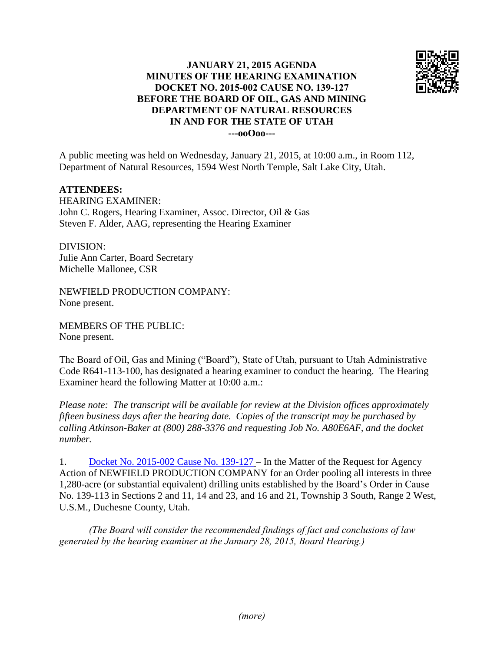

## **JANUARY 21, 2015 AGENDA MINUTES OF THE HEARING EXAMINATION DOCKET NO. 2015-002 CAUSE NO. 139-127 BEFORE THE BOARD OF OIL, GAS AND MINING DEPARTMENT OF NATURAL RESOURCES IN AND FOR THE STATE OF UTAH ---ooOoo---**

A public meeting was held on Wednesday, January 21, 2015, at 10:00 a.m., in Room 112, Department of Natural Resources, 1594 West North Temple, Salt Lake City, Utah.

## **ATTENDEES:**

HEARING EXAMINER: John C. Rogers, Hearing Examiner, Assoc. Director, Oil & Gas Steven F. Alder, AAG, representing the Hearing Examiner

DIVISION: Julie Ann Carter, Board Secretary Michelle Mallonee, CSR

NEWFIELD PRODUCTION COMPANY: None present.

MEMBERS OF THE PUBLIC: None present.

The Board of Oil, Gas and Mining ("Board"), State of Utah, pursuant to Utah Administrative Code R641-113-100, has designated a hearing examiner to conduct the hearing. The Hearing Examiner heard the following Matter at 10:00 a.m.:

*Please note: The transcript will be available for review at the Division offices approximately fifteen business days after the hearing date. Copies of the transcript may be purchased by calling Atkinson-Baker at (800) 288-3376 and requesting Job No. A80E6AF, and the docket number.*

1. [Docket No. 2015-002 Cause No. 139-127](http://ogm.utah.gov/amr/boardtemp/redesign/2015/01_Jan/Dockets/2015-002_139-127_Newfield.php) – In the Matter of the Request for Agency Action of NEWFIELD PRODUCTION COMPANY for an Order pooling all interests in three 1,280-acre (or substantial equivalent) drilling units established by the Board's Order in Cause No. 139-113 in Sections 2 and 11, 14 and 23, and 16 and 21, Township 3 South, Range 2 West, U.S.M., Duchesne County, Utah.

*(The Board will consider the recommended findings of fact and conclusions of law generated by the hearing examiner at the January 28, 2015, Board Hearing.)*